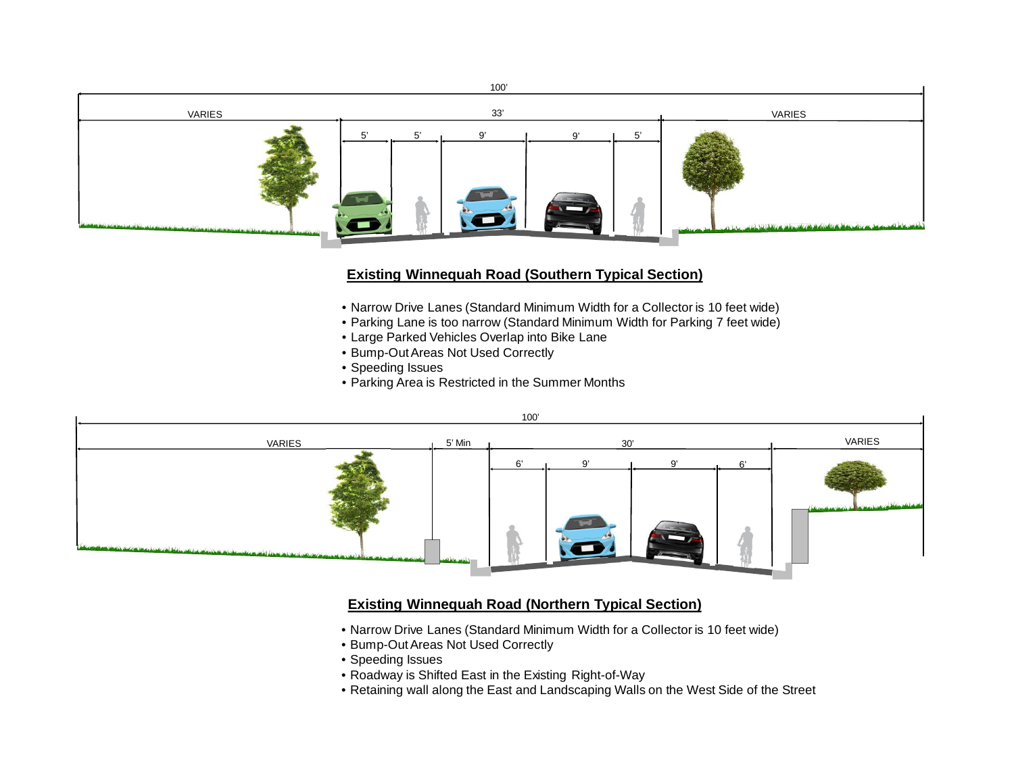

## **Existing Winnequah Road (Southern Typical Section)**

- Narrow Drive Lanes (Standard Minimum Width for a Collector is 10 feet wide)
- Parking Lane is too narrow (Standard Minimum Width for Parking 7 feet wide)
- Large Parked Vehicles Overlap into Bike Lane
- Bump-Out Areas Not Used Correctly
- Speeding Issues
- Parking Area is Restricted in the Summer Months



## **Existing Winnequah Road (Northern Typical Section)**

- Narrow Drive Lanes (Standard Minimum Width for a Collector is 10 feet wide)
- Bump-Out Areas Not Used Correctly
- Speeding Issues
- Roadway is Shifted East in the Existing Right-of-Way
- Retaining wall along the East and Landscaping Walls on the West Side of the Street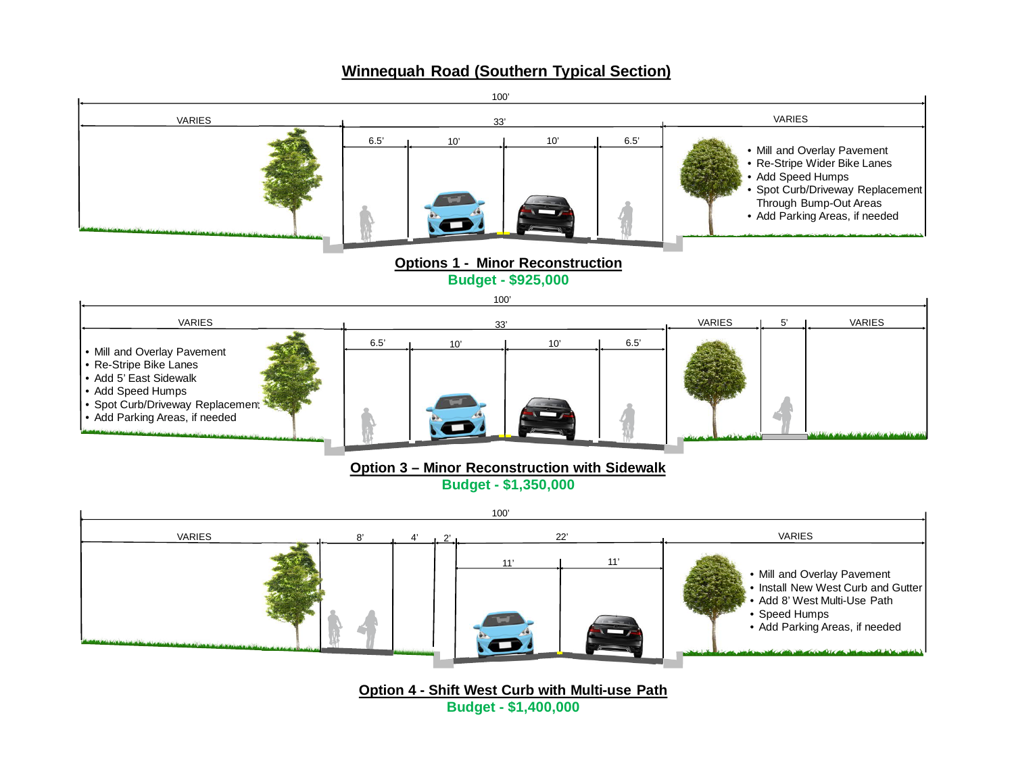## **Winnequah Road (Southern Typical Section)**



**Budget - \$1,400,000**